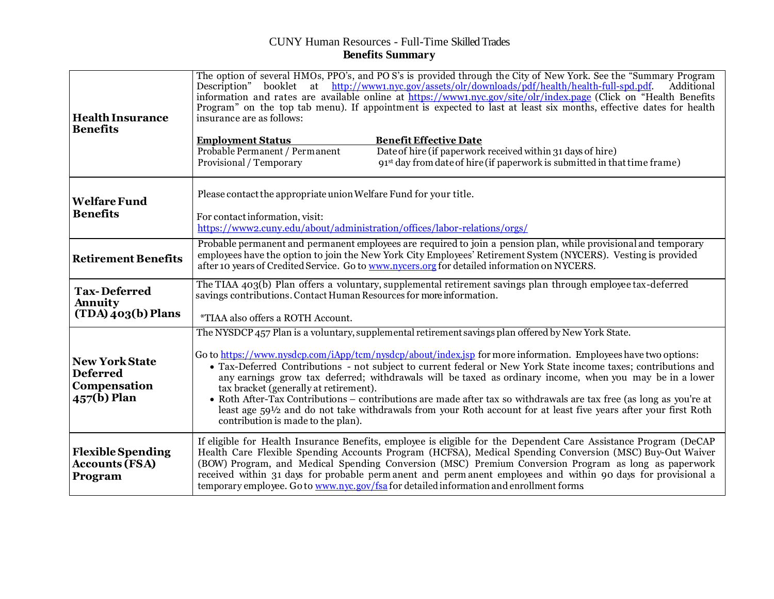## CUNY Human Resources - Full-Time SkilledTrades **Benefits Summary**

| <b>Health Insurance</b><br><b>Benefits</b>                              | The option of several HMOs, PPO's, and PO S's is provided through the City of New York. See the "Summary Program<br>booklet at http://www1.nyc.gov/assets/olr/downloads/pdf/health/health-full-spd.pdf.<br>Description"<br>Additional<br>information and rates are available online at https://www1.nyc.gov/site/olr/index.page (Click on "Health Benefits")<br>Program" on the top tab menu). If appointment is expected to last at least six months, effective dates for health<br>insurance are as follows:<br><b>Employment Status</b><br><b>Benefit Effective Date</b><br>Probable Permanent / Permanent<br>Date of hire (if paperwork received within 31 days of hire)<br>Provisional / Temporary<br>91 <sup>st</sup> day from date of hire (if paperwork is submitted in that time frame) |  |  |
|-------------------------------------------------------------------------|--------------------------------------------------------------------------------------------------------------------------------------------------------------------------------------------------------------------------------------------------------------------------------------------------------------------------------------------------------------------------------------------------------------------------------------------------------------------------------------------------------------------------------------------------------------------------------------------------------------------------------------------------------------------------------------------------------------------------------------------------------------------------------------------------|--|--|
| <b>Welfare Fund</b><br><b>Benefits</b>                                  | Please contact the appropriate union Welfare Fund for your title.<br>For contact information, visit:<br>https://www2.cuny.edu/about/administration/offices/labor-relations/orgs/                                                                                                                                                                                                                                                                                                                                                                                                                                                                                                                                                                                                                 |  |  |
| <b>Retirement Benefits</b>                                              | Probable permanent and permanent employees are required to join a pension plan, while provisional and temporary<br>employees have the option to join the New York City Employees' Retirement System (NYCERS). Vesting is provided<br>after 10 years of Credited Service. Go to www.nycers.org for detailed information on NYCERS.                                                                                                                                                                                                                                                                                                                                                                                                                                                                |  |  |
| <b>Tax-Deferred</b><br>Annuity<br>$(TDA)$ <sub>403</sub> (b) Plans      | The TIAA 403(b) Plan offers a voluntary, supplemental retirement savings plan through employee tax-deferred<br>savings contributions. Contact Human Resources for more information.<br><i>*TIAA also offers a ROTH Account.</i>                                                                                                                                                                                                                                                                                                                                                                                                                                                                                                                                                                  |  |  |
| <b>New York State</b><br><b>Deferred</b><br>Compensation<br>457(b) Plan | The NYSDCP 457 Plan is a voluntary, supplemental retirement savings plan offered by New York State.<br>Go to https://www.nysdcp.com/iApp/tcm/nysdcp/about/index.jsp for more information. Employees have two options:<br>• Tax-Deferred Contributions - not subject to current federal or New York State income taxes; contributions and<br>any earnings grow tax deferred; withdrawals will be taxed as ordinary income, when you may be in a lower<br>tax bracket (generally at retirement).<br>• Roth After-Tax Contributions – contributions are made after tax so withdrawals are tax free (as long as you're at<br>least age $59\frac{1}{2}$ and do not take withdrawals from your Roth account for at least five years after your first Roth<br>contribution is made to the plan).        |  |  |
| <b>Flexible Spending</b><br><b>Accounts (FSA)</b><br>Program            | If eligible for Health Insurance Benefits, employee is eligible for the Dependent Care Assistance Program (DeCAP<br>Health Care Flexible Spending Accounts Program (HCFSA), Medical Spending Conversion (MSC) Buy-Out Waiver<br>(BOW) Program, and Medical Spending Conversion (MSC) Premium Conversion Program as long as paperwork<br>received within 31 days for probable permanent and permanent employees and within 90 days for provisional a<br>temporary employee. Go to www.nyc.gov/fsa for detailed information and enrollment forms                                                                                                                                                                                                                                                   |  |  |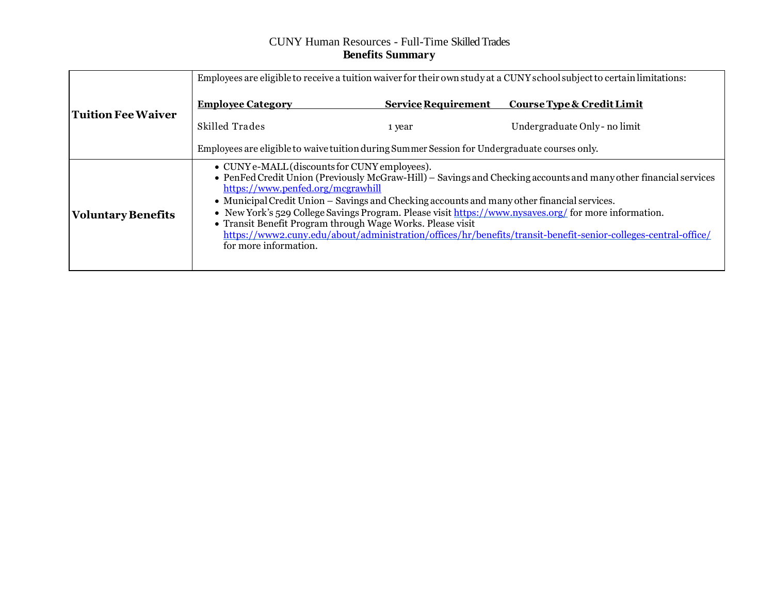## CUNY Human Resources - Full-Time SkilledTrades **Benefits Summary**

|                           | Employees are eligible to receive a tuition waiver for their own study at a CUNY school subject to certain limitations:                                                                                                                                                                                                                                                                                                                                                                                                                                                                                                 |                            |                               |
|---------------------------|-------------------------------------------------------------------------------------------------------------------------------------------------------------------------------------------------------------------------------------------------------------------------------------------------------------------------------------------------------------------------------------------------------------------------------------------------------------------------------------------------------------------------------------------------------------------------------------------------------------------------|----------------------------|-------------------------------|
| <b>Tuition Fee Waiver</b> | <b>Employee Category</b>                                                                                                                                                                                                                                                                                                                                                                                                                                                                                                                                                                                                | <b>Service Requirement</b> | Course Type & Credit Limit    |
|                           | Skilled Trades                                                                                                                                                                                                                                                                                                                                                                                                                                                                                                                                                                                                          | 1 year                     | Undergraduate Only - no limit |
|                           | Employees are eligible to waive tuition during Summer Session for Undergraduate courses only.                                                                                                                                                                                                                                                                                                                                                                                                                                                                                                                           |                            |                               |
| <b>Voluntary Benefits</b> | • CUNY e-MALL (discounts for CUNY employees).<br>• PenFed Credit Union (Previously McGraw-Hill) – Savings and Checking accounts and many other financial services<br>https://www.penfed.org/mcgrawhill<br>• Municipal Credit Union – Savings and Checking accounts and many other financial services.<br>• New York's 529 College Savings Program. Please visit https://www.nysaves.org/ for more information.<br>• Transit Benefit Program through Wage Works. Please visit<br>https://www2.cuny.edu/about/administration/offices/hr/benefits/transit-benefit-senior-colleges-central-office/<br>for more information. |                            |                               |